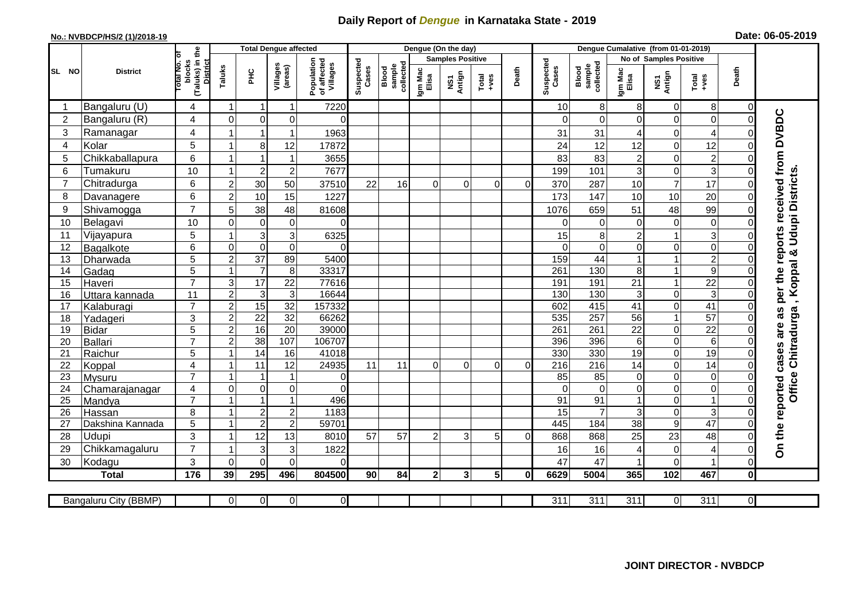## **Daily Report of** *Dengue* **in Karnataka State - 2019**

## **No.: NVBDCP/HS/2 (1)/2018-19 Date: 06-05-2019**

|                |                       | the                                                |                     | <b>Total Dengue affected</b> |                     |                                       |                    |                              |                  | Dengue (On the day)     |                                                              |          |                    |                              |                  |                        |                   |                     |                                     |
|----------------|-----------------------|----------------------------------------------------|---------------------|------------------------------|---------------------|---------------------------------------|--------------------|------------------------------|------------------|-------------------------|--------------------------------------------------------------|----------|--------------------|------------------------------|------------------|------------------------|-------------------|---------------------|-------------------------------------|
|                |                       |                                                    |                     |                              |                     |                                       |                    |                              |                  | <b>Samples Positive</b> |                                                              |          |                    |                              |                  | No of Samples Positive |                   |                     |                                     |
| SL NO          | <b>District</b>       | otal No. of<br>(Taluks) in t<br>District<br>blocks | Taluks              | PНC                          | Villages<br>(areas) | Population<br>of affected<br>Villages | Suspected<br>Cases | Blood<br>sample<br>collected | Igm Mac<br>Elisa | NS1<br>Antign           | $\begin{array}{c}\n\text{Total} \\ \text{+ves}\n\end{array}$ | Death    | Suspected<br>Cases | collected<br>sample<br>Blood | Igm Mac<br>Elisa | NS1<br>Antign          | $Tota$<br>$+ve$ s | Death               |                                     |
|                | Bangaluru (U)         | 4                                                  | 1                   | $\overline{1}$               | -1                  | 7220                                  |                    |                              |                  |                         |                                                              |          | 10                 | 8                            | 8                | $\mathbf 0$            | 8                 | $\overline{0}$      |                                     |
| $\overline{2}$ | Bangaluru (R)         | 4                                                  | $\mathbf 0$         | $\overline{0}$               | 0                   | $\Omega$                              |                    |                              |                  |                         |                                                              |          | $\Omega$           | $\Omega$                     | $\Omega$         | $\mathbf 0$            | $\overline{0}$    | $\overline{0}$      |                                     |
| 3              | Ramanagar             | $\overline{4}$                                     |                     | $\mathbf{1}$                 | $\mathbf 1$         | 1963                                  |                    |                              |                  |                         |                                                              |          | 31                 | 31                           | 4                | $\mathbf 0$            | 4                 | $\Omega$            | per the reports received from DVBDC |
| 4              | Kolar                 | 5                                                  | 1                   | 8                            | 12                  | 17872                                 |                    |                              |                  |                         |                                                              |          | 24                 | 12                           | 12               | $\mathsf{O}\xspace$    | 12                | $\mathbf 0$         |                                     |
| 5              | Chikkaballapura       | 6                                                  | 1                   | $\overline{1}$               | $\mathbf 1$         | 3655                                  |                    |                              |                  |                         |                                                              |          | 83                 | 83                           | $\overline{c}$   | $\mathbf 0$            | $\overline{c}$    | $\Omega$            |                                     |
| 6              | Tumakuru              | 10                                                 | 1                   | $\overline{c}$               | $\overline{2}$      | 7677                                  |                    |                              |                  |                         |                                                              |          | 199                | 101                          | 3                | $\mathsf{O}\xspace$    | 3                 | 0                   |                                     |
| $\overline{7}$ | Chitradurga           | 6                                                  | $\overline{2}$      | 30                           | 50                  | 37510                                 | 22                 | 16                           | $\Omega$         | $\Omega$                | $\Omega$                                                     | $\Omega$ | 370                | 287                          | 10               | $\overline{7}$         | 17                | 0                   |                                     |
| 8              | Davanagere            | 6                                                  | $\overline{2}$      | 10                           | 15                  | 1227                                  |                    |                              |                  |                         |                                                              |          | 173                | 147                          | 10               | 10                     | 20                | $\mathsf{O}\xspace$ |                                     |
| 9              | Shivamogga            | $\overline{7}$                                     | 5                   | 38                           | 48                  | 81608                                 |                    |                              |                  |                         |                                                              |          | 1076               | 659                          | 51               | 48                     | 99                | $\Omega$            | <b>Udupi Districts</b>              |
| 10             | Belagavi              | 10                                                 | $\mathbf 0$         | $\pmb{0}$                    | $\boldsymbol{0}$    | $\Omega$                              |                    |                              |                  |                         |                                                              |          | $\Omega$           | $\mathbf 0$                  | 0                | $\pmb{0}$              | 0                 | $\Omega$            |                                     |
| 11             | Vijayapura            | 5                                                  | 1                   | $\mathbf{3}$                 | 3                   | 6325                                  |                    |                              |                  |                         |                                                              |          | 15                 | 8                            | $\overline{2}$   | $\mathbf{1}$           | 3                 | $\Omega$            |                                     |
| 12             | Bagalkote             | 6                                                  | $\mathsf{O}\xspace$ | $\overline{0}$               | $\overline{0}$      | $\Omega$                              |                    |                              |                  |                         |                                                              |          | $\Omega$           | $\Omega$                     | $\Omega$         | $\pmb{0}$              | $\overline{0}$    | $\Omega$            | ×                                   |
| 13             | Dharwada              | 5                                                  | $\mathbf 2$         | $\overline{37}$              | 89                  | 5400                                  |                    |                              |                  |                         |                                                              |          | 159                | $\overline{44}$              |                  | $\mathbf{1}$           | $\overline{2}$    | $\Omega$            |                                     |
| 14             | Gadag                 | $\overline{5}$                                     | $\mathbf{1}$        | $\overline{7}$               | $\,8\,$             | 33317                                 |                    |                              |                  |                         |                                                              |          | 261                | 130                          | 8                | $\mathbf{1}$           | $\overline{9}$    | 0                   | , Koppal                            |
| 15             | Haveri                | $\overline{7}$                                     | 3                   | 17                           | 22                  | 77616                                 |                    |                              |                  |                         |                                                              |          | 191                | 191                          | 21               | $\mathbf{1}$           | $\overline{22}$   | 0                   |                                     |
| 16             | Uttara kannada        | 11                                                 | $\overline{2}$      | $\overline{3}$               | $\overline{3}$      | 16644                                 |                    |                              |                  |                         |                                                              |          | 130                | 130                          | 3                | $\mathbf 0$            | 3                 | $\Omega$            |                                     |
| 17             | Kalaburagi            | $\overline{7}$                                     | $\overline{a}$      | 15                           | $\overline{32}$     | 157332                                |                    |                              |                  |                         |                                                              |          | 602                | 415                          | 41               | $\boldsymbol{0}$       | 41                | $\mathbf 0$         |                                     |
| 18             | Yadageri              | 3                                                  | $\overline{c}$      | 22                           | 32                  | 66262                                 |                    |                              |                  |                         |                                                              |          | 535                | 257                          | 56               | $\mathbf{1}$           | 57                | $\Omega$            |                                     |
| 19             | <b>Bidar</b>          | 5                                                  | $\mathbf 2$         | 16                           | $\overline{20}$     | 39000                                 |                    |                              |                  |                         |                                                              |          | 261                | 261                          | 22               | $\mathbf 0$            | $\overline{22}$   | 0                   |                                     |
| 20             | Ballari               | $\overline{7}$                                     | $\overline{2}$      | 38                           | 107                 | 106707                                |                    |                              |                  |                         |                                                              |          | 396                | 396                          | $6\phantom{a}$   | $\mathbf 0$            | 6                 | $\Omega$            |                                     |
| 21             | Raichur               | 5                                                  | 1                   | $\overline{14}$              | 16                  | 41018                                 |                    |                              |                  |                         |                                                              |          | 330                | 330                          | $\overline{19}$  | $\boldsymbol{0}$       | 19                | 0                   | Chitradurga                         |
| 22             | Koppal                | 4                                                  | $\mathbf 1$         | $\overline{11}$              | 12                  | 24935                                 | 11                 | 11                           | $\Omega$         | $\Omega$                | $\Omega$                                                     | $\Omega$ | 216                | $\overline{216}$             | 14               | $\mathbf 0$            | $\overline{14}$   | $\overline{0}$      |                                     |
| 23             | <b>Mysuru</b>         | $\overline{7}$                                     | 1                   | $\mathbf{1}$                 | $\mathbf{1}$        | $\overline{0}$                        |                    |                              |                  |                         |                                                              |          | 85                 | 85                           | 0                | $\mathsf{O}\xspace$    | 0                 | 0                   | <b>Office</b>                       |
| 24             | Chamarajanagar        | $\overline{4}$<br>$\overline{7}$                   | $\overline{0}$      | $\pmb{0}$                    | $\pmb{0}$           | $\Omega$                              |                    |                              |                  |                         |                                                              |          | $\Omega$           | $\Omega$                     | $\Omega$         | $\mathbf 0$            | 0                 | $\mathbf 0$         |                                     |
| 25             | Mandya                |                                                    |                     | $\overline{1}$               | 1                   | 496                                   |                    |                              |                  |                         |                                                              |          | 91                 | $\overline{91}$              |                  | $\mathbf 0$            | 1                 | $\mathbf 0$         |                                     |
| 26             | Hassan                | 8                                                  | 1<br>$\mathbf{1}$   | $\boldsymbol{2}$             | $\boldsymbol{2}$    | 1183                                  |                    |                              |                  |                         |                                                              |          | 15                 |                              | 3                | $\pmb{0}$              | 3<br>47           | $\mathbf 0$         |                                     |
| 27             | Dakshina Kannada      | 5                                                  |                     | $\overline{2}$               | $\overline{2}$      | 59701                                 |                    |                              |                  |                         |                                                              |          | 445                | 184                          | $\overline{38}$  | $\overline{9}$         |                   | $\mathbf 0$         |                                     |
| 28             | Udupi                 | 3<br>$\overline{7}$                                | $\mathbf 1$<br>1    | 12                           | 13                  | 8010                                  | 57                 | 57                           | $\mathcal{P}$    | 3                       | 5                                                            | $\Omega$ | 868                | 868                          | 25               | 23                     | 48                | $\Omega$            | On the reported cases are as        |
| 29             | Chikkamagaluru        |                                                    |                     | 3                            | 3                   | 1822                                  |                    |                              |                  |                         |                                                              |          | 16                 | 16                           | 4                | $\mathbf 0$            | 4                 | $\Omega$            |                                     |
| 30             | Kodagu                | 3                                                  | $\Omega$            | $\Omega$                     | $\Omega$            | $\Omega$                              |                    |                              |                  |                         |                                                              |          | 47                 | 47                           |                  | $\Omega$               |                   | $\mathbf 0$         |                                     |
|                | <b>Total</b>          | 176                                                | 39                  | 295                          | 496                 | 804500                                | 90                 | 84                           | 2 <sup>1</sup>   | 3 <sup>1</sup>          | 5 <sub>l</sub>                                               | 0        | 6629               | 5004                         | 365              | 102                    | 467               | $\mathbf 0$         |                                     |
|                | Bangaluru City (BBMP) |                                                    | $\overline{0}$      | $\overline{0}$               | $\overline{0}$      | $\overline{0}$                        |                    |                              |                  |                         |                                                              |          | $\overline{311}$   | $\overline{311}$             | $\overline{311}$ | $\overline{0}$         | $\overline{311}$  | $\overline{0}$      |                                     |